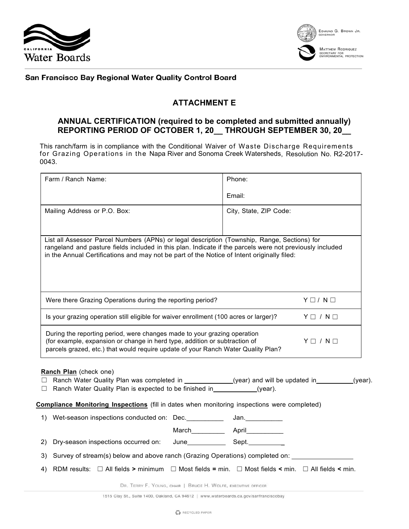



## San Francisco Bay Regional Water Quality Control Board

## **ATTACHMENT E**

## **ANNUAL CERTIFICATION (required to be completed and submitted annually) REPORTING PERIOD OF OCTOBER 1, 20\_\_ THROUGH SEPTEMBER 30, 20\_\_**

This ranch/farm is in compliance with the Conditional Waiver of Waste Discharge Requirements for Grazing Operations in the Napa River and Sonoma Creek Watersheds, Resolution No. R2-2017- 0043.

| Farm / Ranch Name:                                                                                                                                                                                                                                                                                     |  | Phone:                 |                   |  |
|--------------------------------------------------------------------------------------------------------------------------------------------------------------------------------------------------------------------------------------------------------------------------------------------------------|--|------------------------|-------------------|--|
|                                                                                                                                                                                                                                                                                                        |  | Email:                 |                   |  |
| Mailing Address or P.O. Box:                                                                                                                                                                                                                                                                           |  | City, State, ZIP Code: |                   |  |
|                                                                                                                                                                                                                                                                                                        |  |                        |                   |  |
| List all Assessor Parcel Numbers (APNs) or legal description (Township, Range, Sections) for<br>rangeland and pasture fields included in this plan. Indicate if the parcels were not previously included<br>in the Annual Certifications and may not be part of the Notice of Intent originally filed: |  |                        |                   |  |
| Were there Grazing Operations during the reporting period?                                                                                                                                                                                                                                             |  |                        | $Y \Box / N \Box$ |  |
| Is your grazing operation still eligible for waiver enrollment (100 acres or larger)?                                                                                                                                                                                                                  |  |                        | $Y \Box / N \Box$ |  |
| During the reporting period, were changes made to your grazing operation<br>(for example, expansion or change in herd type, addition or subtraction of<br>$Y \Box / N \Box$<br>parcels grazed, etc.) that would require update of your Ranch Water Quality Plan?                                       |  |                        |                   |  |
| Ranch Plan (check one)<br>□ Ranch Water Quality Plan was completed in ___________(year) and will be updated in _______(year).<br>$\Box$ Ranch Water Quality Plan is expected to be finished in $(year)$ .                                                                                              |  |                        |                   |  |
| Compliance Monitoring Inspections (fill in dates when monitoring inspections were completed)                                                                                                                                                                                                           |  |                        |                   |  |
| 1) Wet-season inspections conducted on: Dec.                                                                                                                                                                                                                                                           |  | Jan.                   |                   |  |
|                                                                                                                                                                                                                                                                                                        |  |                        |                   |  |
|                                                                                                                                                                                                                                                                                                        |  |                        |                   |  |
| Survey of stream(s) below and above ranch (Grazing Operations) completed on:<br>3)                                                                                                                                                                                                                     |  |                        |                   |  |
| RDM results: $\Box$ All fields > minimum $\Box$ Most fields = min. $\Box$ Most fields < min. $\Box$ All fields < min.<br>4)                                                                                                                                                                            |  |                        |                   |  |

DR. TERRY F. YOUNG, CHAIR | BRUCE H. WOLFE, EXECUTIVE OFFICER

1515 Clay St., Suite 1400, Oakland, CA 94612 | www.waterboards.ca.gov/sanfranciscobay